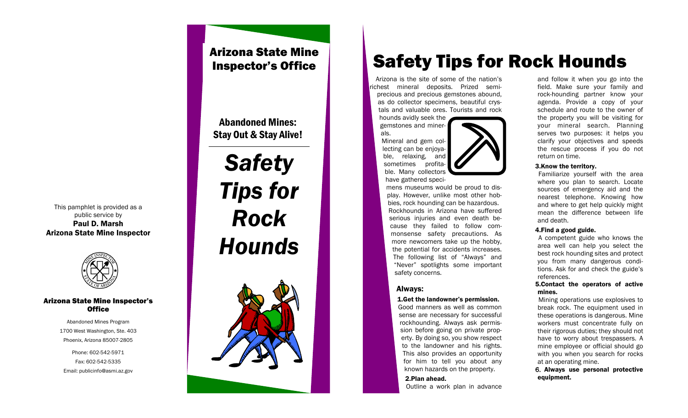#### This pamphlet is provided as a public service by Paul D. Marsh Arizona State Mine Inspector



#### Arizona State Mine Inspector's **Office**

Abandoned Mines Program 1700 West Washington, Ste. 403 Phoenix, Arizona 85007-2805

Phone: 602-542-5971 Fax: 602-542-5335 Email: publicinfo@asmi.az.gov

# Arizona State Mine Inspector's Office

Abandoned Mines: Stay Out & Stay Alive!

# *Safety Tips for Rock Hounds*



# Safety Tips for Rock Hounds

Arizona is the site of some of the nation's chest mineral deposits. Prized semiprecious and precious gemstones abound, as do collector specimens, beautiful crystals and valuable ores. Tourists and rock

hounds avidly seek the gemstones and minerals.

Mineral and gem collecting can be enjoyable, relaxing, and sometimes profitable. Many collectors have gathered speci-

mens museums would be proud to display. However, unlike most other hobbies, rock hounding can be hazardous. Rockhounds in Arizona have suffered serious injuries and even death because they failed to follow commonsense safety precautions. As more newcomers take up the hobby, the potential for accidents increases. The following list of "Always" and "Never" spotlights some important safety concerns.

### Always:

#### 1.Get the landowner's permission.

Good manners as well as common sense are necessary for successful rockhounding. Always ask permission before going on private property. By doing so, you show respect to the landowner and his rights. This also provides an opportunity for him to tell you about any known hazards on the property.

#### 2.Plan ahead.

Outline a work plan in advance

and follow it when you go into the field. Make sure your family and rock-hounding partner know your agenda. Provide a copy of your schedule and route to the owner of the property you will be visiting for your mineral search. Planning serves two purposes: it helps you clarify your objectives and speeds the rescue process if you do not return on time.

#### 3.Know the territory.

Familiarize yourself with the area where you plan to search. Locate sources of emergency aid and the nearest telephone. Knowing how and where to get help quickly might mean the difference between life and death.

#### 4.Find a good guide.

A competent guide who knows the area well can help you select the best rock hounding sites and protect you from many dangerous conditions. Ask for and check the guide's references.

#### 5.Contact the operators of active mines.

Mining operations use explosives to break rock. The equipment used in these operations is dangerous. Mine workers must concentrate fully on their rigorous duties; they should not have to worry about trespassers. A mine employee or official should go with you when you search for rocks at an operating mine.

6. Always use personal protective equipment.